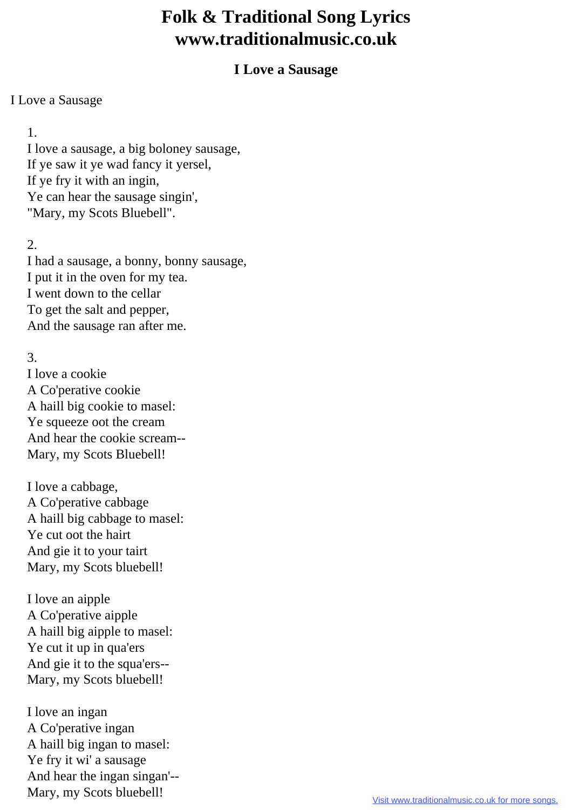# **Folk & Traditional Song Lyrics www.traditionalmusic.co.uk**

### **I Love a Sausage**

#### I Love a Sausage

# 1.

 I love a sausage, a big boloney sausage, If ye saw it ye wad fancy it yersel, If ye fry it with an ingin, Ye can hear the sausage singin', "Mary, my Scots Bluebell".

# 2.

 I had a sausage, a bonny, bonny sausage, I put it in the oven for my tea. I went down to the cellar To get the salt and pepper, And the sausage ran after me.

# 3.

 I love a cookie A Co'perative cookie A haill big cookie to masel: Ye squeeze oot the cream And hear the cookie scream-- Mary, my Scots Bluebell!

 I love a cabbage, A Co'perative cabbage A haill big cabbage to masel: Ye cut oot the hairt And gie it to your tairt Mary, my Scots bluebell!

 I love an aipple A Co'perative aipple A haill big aipple to masel: Ye cut it up in qua'ers And gie it to the squa'ers-- Mary, my Scots bluebell!

 I love an ingan A Co'perative ingan A haill big ingan to masel: Ye fry it wi' a sausage And hear the ingan singan'--Mary, my Scots bluebell!